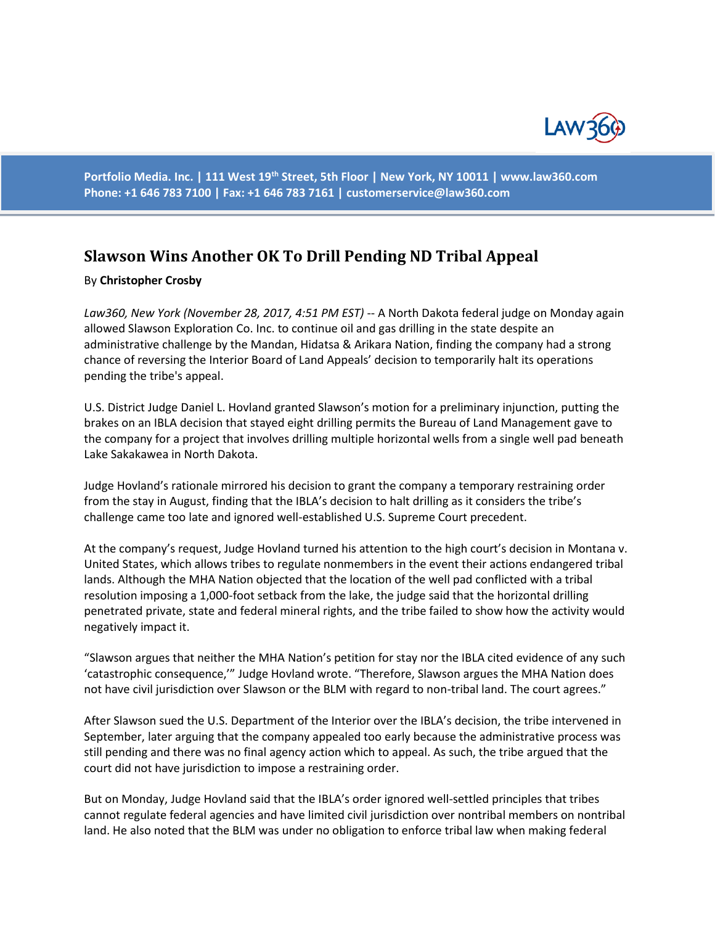

**Portfolio Media. Inc. | 111 West 19th Street, 5th Floor | New York, NY 10011 | www.law360.com Phone: +1 646 783 7100 | Fax: +1 646 783 7161 | [customerservice@law360.com](mailto:customerservice@law360.com)**

## **Slawson Wins Another OK To Drill Pending ND Tribal Appeal**

## By **Christopher Crosby**

*Law360, New York (November 28, 2017, 4:51 PM EST)* -- A North Dakota federal judge on Monday again allowed Slawson Exploration Co. Inc. to continue oil and gas drilling in the state despite an administrative challenge by the Mandan, Hidatsa & Arikara Nation, finding the company had a strong chance of reversing the Interior Board of Land Appeals' decision to temporarily halt its operations pending the tribe's appeal.

U.S. District Judge Daniel L. Hovland granted Slawson's motion for a preliminary injunction, putting the brakes on an IBLA decision that stayed eight drilling permits the Bureau of Land Management gave to the company for a project that involves drilling multiple horizontal wells from a single well pad beneath Lake Sakakawea in North Dakota.

Judge Hovland's rationale mirrored his decision to grant the company a temporary restraining order from the stay in August, finding that the IBLA's decision to halt drilling as it considers the tribe's challenge came too late and ignored well-established U.S. Supreme Court precedent.

At the company's request, Judge Hovland turned his attention to the high court's decision in Montana v. United States, which allows tribes to regulate nonmembers in the event their actions endangered tribal lands. Although the MHA Nation objected that the location of the well pad conflicted with a tribal resolution imposing a 1,000-foot setback from the lake, the judge said that the horizontal drilling penetrated private, state and federal mineral rights, and the tribe failed to show how the activity would negatively impact it.

"Slawson argues that neither the MHA Nation's petition for stay nor the IBLA cited evidence of any such 'catastrophic consequence,'" Judge Hovland wrote. "Therefore, Slawson argues the MHA Nation does not have civil jurisdiction over Slawson or the BLM with regard to non-tribal land. The court agrees."

After Slawson sued the U.S. Department of the Interior over the IBLA's decision, the tribe intervened in September, later arguing that the company appealed too early because the administrative process was still pending and there was no final agency action which to appeal. As such, the tribe argued that the court did not have jurisdiction to impose a restraining order.

But on Monday, Judge Hovland said that the IBLA's order ignored well-settled principles that tribes cannot regulate federal agencies and have limited civil jurisdiction over nontribal members on nontribal land. He also noted that the BLM was under no obligation to enforce tribal law when making federal